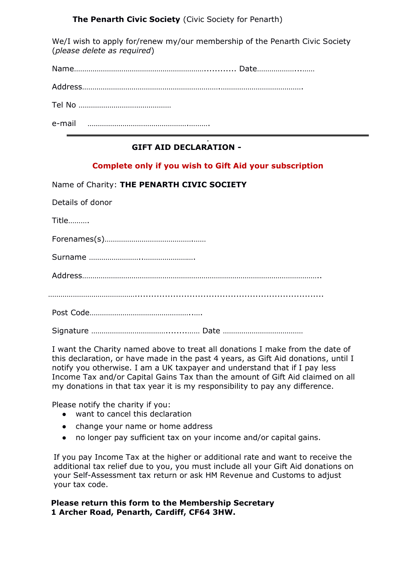**The Penarth Civic Society** (Civic Society for Penarth)

We/I wish to apply for/renew my/our membership of the Penarth Civic Society (*please delete as required*)

Name………………………………………………………............ Date………………...……

Address………………………………………………………….………………………………….

Tel No ………………………………………

e-mail ………………………………………….……….

#### . **GIFT AID DECLARATION -**

# **Complete only if you wish to Gift Aid your subscription**

|  |  | Name of Charity: THE PENARTH CIVIC SOCIETY |  |
|--|--|--------------------------------------------|--|
|  |  |                                            |  |

Title……….

Forenames(s)…………………………………….……

Surname ……………………..…………………….

Address……………………………………………………………………………………………………..

…………………………………….....................................................................

Post Code…………………………………………..….

Signature ………………………………........…… Date …………………………………

I want the Charity named above to treat all donations I make from the date of this declaration, or have made in the past 4 years, as Gift Aid donations, until I notify you otherwise. I am a UK taxpayer and understand that if I pay less Income Tax and/or Capital Gains Tax than the amount of Gift Aid claimed on all my donations in that tax year it is my responsibility to pay any difference.

Please notify the charity if you:

- want to cancel this declaration
- change your name or home address
- no longer pay sufficient tax on your income and/or capital gains.

If you pay Income Tax at the higher or additional rate and want to receive the additional tax relief due to you, you must include all your Gift Aid donations on your Self-Assessment tax return or ask HM Revenue and Customs to adjust your tax code.

**Please return this form to the Membership Secretary 1 Archer Road, Penarth, Cardiff, CF64 3HW.**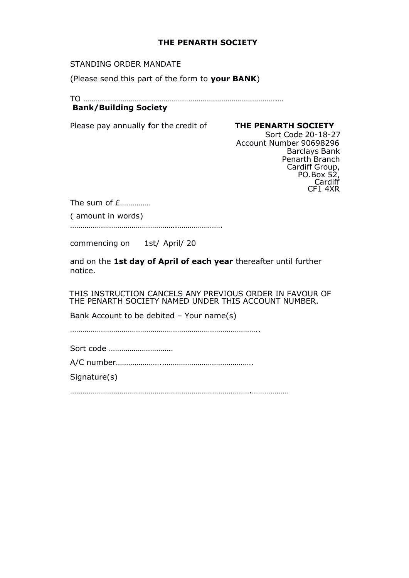### **THE PENARTH SOCIETY**

STANDING ORDER MANDATE

(Please send this part of the form to **your BANK**)

TO ………………………………………………………………………………….… **Bank/Building Society**

## Please pay annually **f**or the credit of **THE PENARTH SOCIETY**

Sort Code 20-18-27 Account Number 90698296 Barclays Bank Penarth Branch Cardiff Group, PO.Box 52, Cardiff CF1 4XR

The sum of £…………… ( amount in words)

…………………………………………….………………….

commencing on 1st/ April/ 20

and on the **1st day of April of each year** thereafter until further notice.

THIS INSTRUCTION CANCELS ANY PREVIOUS ORDER IN FAVOUR OF THE PENARTH SOCIETY NAMED UNDER THIS ACCOUNT NUMBER.

Bank Account to be debited – Your name(s)

………………………………………………………………………………..

Sort code ………………………….

A/C number…………………..…………………………………….

Signature(s)

…………………………………………………………………………….………………